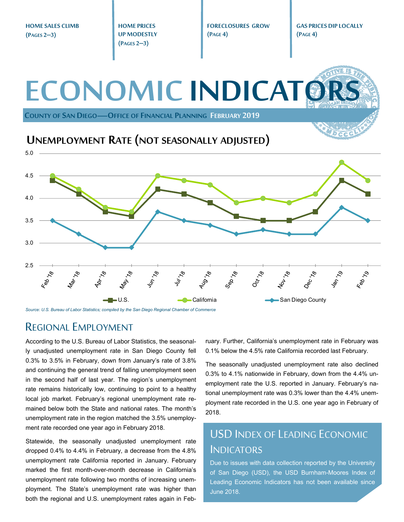**HOME SALES CLIMB HOME PRICES FORECLOSURES GROW GAS PRICES DIP LOCALLY UP MODESTLY (PAGE 4) (PAGE 4) (PAGES 2–3) (PAGES 2–3) ECONOMIC INDICATO COUNTY OF SAN DIEGO—OFFICE OF FINANCIAL PLANNING FEBRUARY 2019 UNEMPLOYMENT RATE (NOT SEASONALLY ADJUSTED)** 5.0 4.5 4.0 3.5 3.0 2.5  $v_{4\gamma}$   $\frac{1}{78}$ Oct 18 Aug<sub>78</sub> Sep.78 197.79  $\mathcal{S}_{\mathcal{A}}$  $\mathcal{S}_{\mathcal{A}}$  $\mathcal{S}_{\mathcal{L}}$ Feb 1 Feb 1 ■U.S. California California San Diego County County

*Source: U.S. Bureau of Labor Statistics; compiled by the San Diego Regional Chamber of Commerce* 

#### REGIONAL EMPLOYMENT

According to the U.S. Bureau of Labor Statistics, the seasonally unadjusted unemployment rate in San Diego County fell 0.3% to 3.5% in February, down from January's rate of 3.8% and continuing the general trend of falling unemployment seen in the second half of last year. The region's unemployment rate remains historically low, continuing to point to a healthy local job market. February's regional unemployment rate remained below both the State and national rates. The month's unemployment rate in the region matched the 3.5% unemployment rate recorded one year ago in February 2018.

Statewide, the seasonally unadjusted unemployment rate dropped 0.4% to 4.4% in February, a decrease from the 4.8% unemployment rate California reported in January. February marked the first month-over-month decrease in California's unemployment rate following two months of increasing unemployment. The State's unemployment rate was higher than both the regional and U.S. unemployment rates again in February. Further, California's unemployment rate in February was 0.1% below the 4.5% rate California recorded last February.

The seasonally unadjusted unemployment rate also declined 0.3% to 4.1% nationwide in February, down from the 4.4% unemployment rate the U.S. reported in January. February's national unemployment rate was 0.3% lower than the 4.4% unemployment rate recorded in the U.S. one year ago in February of 2018.

### USD INDEX OF LEADING ECONOMIC **INDICATORS**

Due to issues with data collection reported by the University of San Diego (USD), the USD Burnham-Moores Index of Leading Economic Indicators has not been available since June 2018.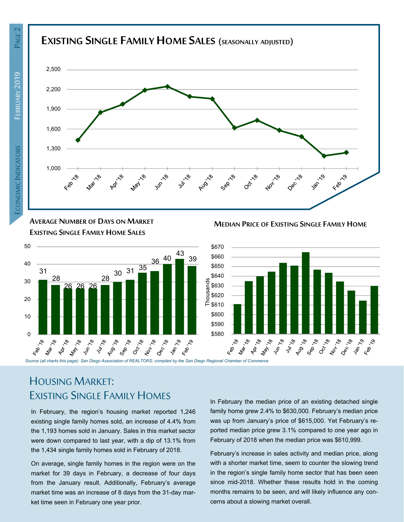

**AVERAGE NUMBER OF DAYS ON MARKET EXISTING SINGLE FAMILY HOME SALES**



**MEDIAN PRICE OF EXISTING SINGLE FAMILY HOME**



# HOUSING MARKET: EXISTING SINGLE FAMILY HOMES

In February, the region's housing market reported 1,246 existing single family homes sold, an increase of 4.4% from the 1,193 homes sold in January. Sales in this market sector were down compared to last year, with a dip of 13.1% from the 1,434 single family homes sold in February of 2018.

On average, single family homes in the region were on the market for 39 days in February, a decrease of four days from the January result. Additionally, February's average market time was an increase of 8 days from the 31-day market time seen in February one year prior.

In February the median price of an existing detached single family home grew 2.4% to \$630,000. February's median price was up from January's price of \$615,000. Yet February's reported median price grew 3.1% compared to one year ago in February of 2018 when the median price was \$610,999.

February's increase in sales activity and median price, along with a shorter market time, seem to counter the slowing trend in the region's single family home sector that has been seen since mid-2018. Whether these results hold in the coming months remains to be seen, and will likely influence any concerns about a slowing market overall.

PAGE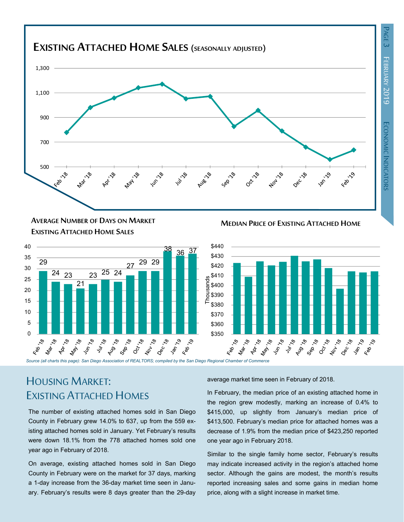

#### **MEDIAN PRICE OF EXISTING ATTACHED HOME AVERAGE NUMBER OF DAYS ON MARKET EXISTING ATTACHED HOME SALES**





# HOUSING MARKET: EXISTING ATTACHED HOMES

The number of existing attached homes sold in San Diego County in February grew 14.0% to 637, up from the 559 existing attached homes sold in January. Yet February's results were down 18.1% from the 778 attached homes sold one year ago in February of 2018.

On average, existing attached homes sold in San Diego County in February were on the market for 37 days, marking a 1-day increase from the 36-day market time seen in January. February's results were 8 days greater than the 29-day average market time seen in February of 2018.

In February, the median price of an existing attached home in the region grew modestly, marking an increase of 0.4% to \$415,000, up slightly from January's median price of \$413,500. February's median price for attached homes was a decrease of 1.9% from the median price of \$423,250 reported one year ago in February 2018.

Similar to the single family home sector, February's results may indicate increased activity in the region's attached home sector. Although the gains are modest, the month's results reported increasing sales and some gains in median home price, along with a slight increase in market time.